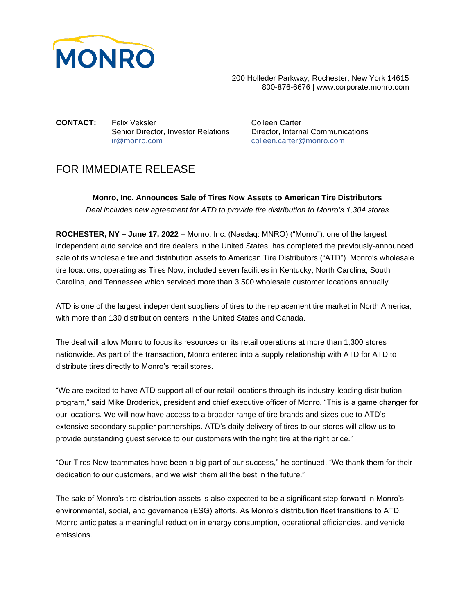

 200 Holleder Parkway, Rochester, New York 14615 800-876-6676 | www.corporate.monro.com

**CONTACT:** Felix Veksler CONTACT: Felix Veksler Senior Director, Investor Relations Director, Internal Communications [ir@monro.com](mailto:ir@monro.com) [colleen.carter@monro.com](mailto:colleen.carter@monro.com)

## FOR IMMEDIATE RELEASE

**Monro, Inc. Announces Sale of Tires Now Assets to American Tire Distributors** *Deal includes new agreement for ATD to provide tire distribution to Monro's 1,304 stores*

**ROCHESTER, NY – June 17, 2022** – Monro, Inc. (Nasdaq: MNRO) ("Monro"), one of the largest independent auto service and tire dealers in the United States, has completed the previously-announced sale of its wholesale tire and distribution assets to American Tire Distributors ("ATD"). Monro's wholesale tire locations, operating as Tires Now, included seven facilities in Kentucky, North Carolina, South Carolina, and Tennessee which serviced more than 3,500 wholesale customer locations annually.

ATD is one of the largest independent suppliers of tires to the replacement tire market in North America, with more than 130 distribution centers in the United States and Canada.

The deal will allow Monro to focus its resources on its retail operations at more than 1,300 stores nationwide. As part of the transaction, Monro entered into a supply relationship with ATD for ATD to distribute tires directly to Monro's retail stores.

"We are excited to have ATD support all of our retail locations through its industry-leading distribution program," said Mike Broderick, president and chief executive officer of Monro. "This is a game changer for our locations. We will now have access to a broader range of tire brands and sizes due to ATD's extensive secondary supplier partnerships. ATD's daily delivery of tires to our stores will allow us to provide outstanding guest service to our customers with the right tire at the right price."

"Our Tires Now teammates have been a big part of our success," he continued. "We thank them for their dedication to our customers, and we wish them all the best in the future."

The sale of Monro's tire distribution assets is also expected to be a significant step forward in Monro's environmental, social, and governance (ESG) efforts. As Monro's distribution fleet transitions to ATD, Monro anticipates a meaningful reduction in energy consumption, operational efficiencies, and vehicle emissions.